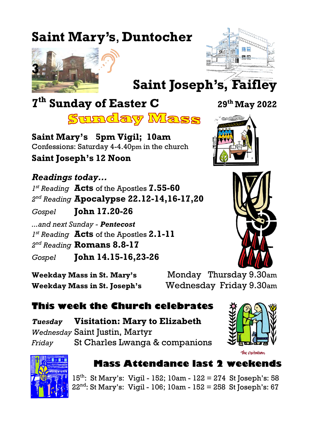# **Saint Mary's**, **Duntocher**





**Saint Joseph's, Faifley**

# **7 th Sunday of Easter C <sup>29</sup>th May 2022**



**Saint Mary's 5pm Vigil; 10am** Confessions: Saturday 4-4.40pm in the church **Saint Joseph's 12 Noon**

*Readings today... 1 st Reading* **Acts** of the Apostles **7.55-60** *2 nd Reading* **Apocalypse 22.12-14,16-17,20** *Gospel* **John 17.20-26** *...and next Sunday - Pentecost 1 st Reading* **Acts** of the Apostles **2.1-11** *2 nd Reading* **Romans 8.8-17** *Gospel* **John 14.15-16,23-26**

**Weekday Mass in St. Mary's** Monday Thursday 9.30am **Weekday Mass in St. Joseph's** Wednesday Friday 9.30am

# **This week the Church celebrates**

*Tuesday* **Visitation: Mary to Elizabeth** *Wednesday* Saint Justin, Martyr *Friday* St Charles Lwanga & companions





## **Mass Attendance last 2 weekends**

15th: St Mary's: Vigil - 152; 10am - 122 = 274 St Joseph's: 58 22nd: St Mary's: Vigil - 106; 10am - 152 = 258 St Joseph's: 67

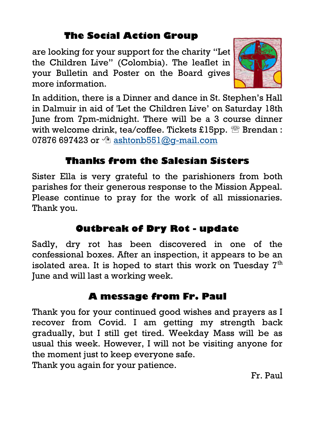# **The Social Action Group**

are looking for your support for the charity "Let the Children Live" (Colombia). The leaflet in your Bulletin and Poster on the Board gives more information.



In addition, there is a Dinner and dance in St. Stephen's Hall in Dalmuir in aid of 'Let the Children Live' on Saturday 18th June from 7pm-midnight. There will be a 3 course dinner with welcome drink, tea/coffee. Tickets £15pp.  $\mathbb{B}$  Brendan : 07876 697423 or  $\Diamond$  ashtonb551@q-mail.com

## **Thanks from the Salesian Sisters**

Sister Ella is very grateful to the parishioners from both parishes for their generous response to the Mission Appeal. Please continue to pray for the work of all missionaries. Thank you.

# **Outbreak of Dry Rot - update**

Sadly, dry rot has been discovered in one of the confessional boxes. After an inspection, it appears to be an isolated area. It is hoped to start this work on Tuesday  $7<sup>th</sup>$ June and will last a working week.

## **A message from Fr. Paul**

Thank you for your continued good wishes and prayers as I recover from Covid. I am getting my strength back gradually, but I still get tired. Weekday Mass will be as usual this week. However, I will not be visiting anyone for the moment just to keep everyone safe.

Thank you again for your patience.

Fr. Paul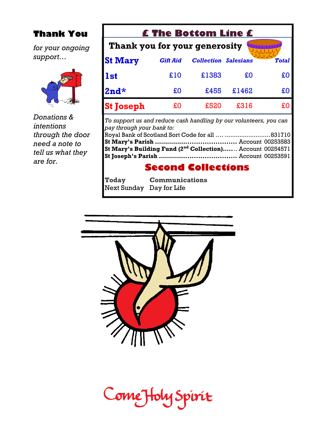### **Thank You**

*for your ongoing support…*



*Donations & intentions through the door need a note to tell us what they are for.*

| <b>£ The Bottom Line £</b>                                                                     |                 |                             |       |              |  |
|------------------------------------------------------------------------------------------------|-----------------|-----------------------------|-------|--------------|--|
| Thank you for your generosity                                                                  |                 |                             |       |              |  |
| <b>St Mary</b>                                                                                 | <b>Gift Aid</b> | <b>Collection Salesians</b> |       | <b>Total</b> |  |
| <b>1st</b>                                                                                     | £10             | £1383                       | £O    | £O           |  |
| $2nd*$                                                                                         | £O              | £455                        | £1462 | £O           |  |
| <b>St Joseph</b>                                                                               | £O              | £520                        | £316  | £O           |  |
| To support us and reduce cash handling by our volunteers, you can<br>nau theaugh wane hanletas |                 |                             |       |              |  |

| pay through your bank to:                                      |  |
|----------------------------------------------------------------|--|
|                                                                |  |
|                                                                |  |
| St Mary's Building Fund $(2^{nd}$ Collection) Account 00254571 |  |
|                                                                |  |

# **Second Collections**

| <b>Today</b>             | <b>Communications</b> |
|--------------------------|-----------------------|
| Next Sunday Day for Life |                       |



Come Holy Spirit